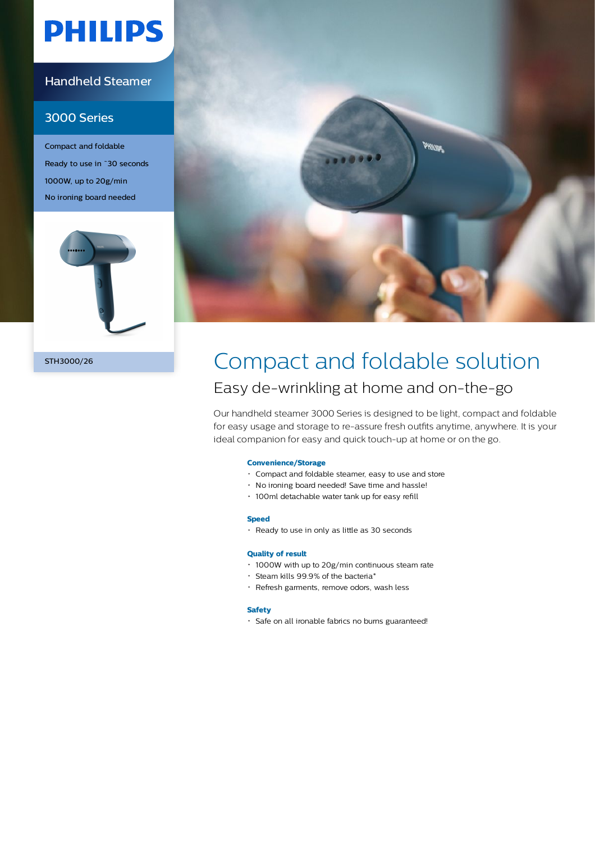# **PHILIPS**

### Handheld Steamer

### 3000 Series

Compact and foldable Ready to use in ˜30 seconds 1000W, up to 20g/min No ironing board needed





## STH3000/26 Compact and foldable solution Easy de-wrinkling at home and on-the-go

Our handheld steamer 3000 Series is designed to be light, compact and foldable for easy usage and storage to re-assure fresh outfits anytime, anywhere. It is your ideal companion for easy and quick touch-up at home or on the go.

#### **Convenience/Storage**

- Compact and foldable steamer, easy to use and store
- No ironing board needed! Save time and hassle!
- 100ml detachable water tank up for easy refill

#### **Speed**

Ready to use in only as little as 30 seconds

#### **Quality of result**

- 1000W with up to 20g/min continuous steam rate
- $\cdot$  Steam kills 99.9% of the bacteria\*
- Refresh garments, remove odors, wash less

#### **Safety**

Safe on all ironable fabrics no burns guaranteed!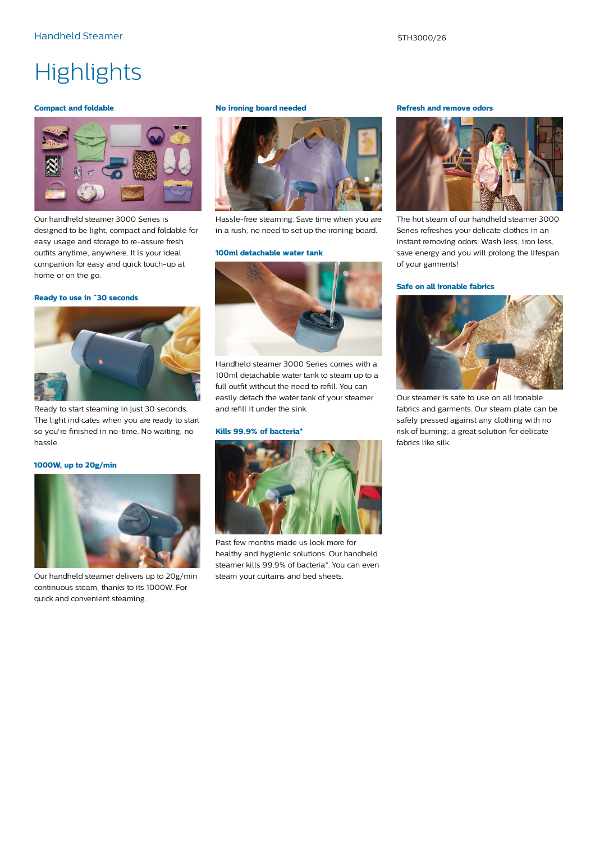## **Highlights**

#### **Compact and foldable**



Our handheld steamer 3000 Series is designed to be light, compact and foldable for easy usage and storage to re-assure fresh outfits anytime, anywhere. It is your ideal companion for easy and quick touch-up at home or on the go.

#### **Ready to use in ˜30 seconds**



Ready to start steaming in just 30 seconds. The light indicates when you are ready to start so you're finished in no-time. No waiting, no hassle.

#### **1000W, up to 20g/min**



Our handheld steamer delivers up to 20g/min continuous steam, thanks to its 1000W. For quick and convenient steaming.

#### **No ironing board needed**



Hassle-free steaming. Save time when you are in a rush, no need to set up the ironing board.

#### **100ml detachable water tank**



Handheld steamer 3000 Series comes with a 100ml detachable water tank to steam up to a full outfit without the need to refill. You can easily detach the water tank of your steamer and refill it under the sink.

#### **Kills 99.9% of bacteria\***



Past few months made us look more for healthy and hygienic solutions. Our handheld steamer kills 99.9% of bacteria\*. You can even steam your curtains and bed sheets.

#### **Refresh and remove odors**



The hot steam of our handheld steamer 3000 Series refreshes your delicate clothes in an instant removing odors. Wash less, iron less, save energy and you will prolong the lifespan of your garments!

#### **Safe on all ironable fabrics**



Our steamer is safe to use on all ironable fabrics and garments. Our steam plate can be safely pressed against any clothing with no risk of burning; a great solution for delicate fabrics like silk.